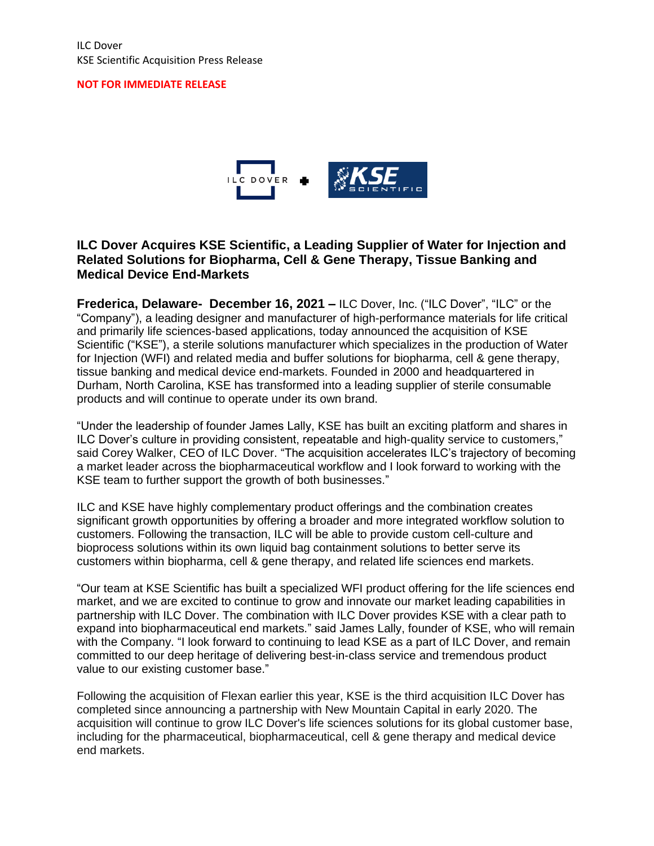#### **NOT FOR IMMEDIATE RELEASE**



## **ILC Dover Acquires KSE Scientific, a Leading Supplier of Water for Injection and Related Solutions for Biopharma, Cell & Gene Therapy, Tissue Banking and Medical Device End-Markets**

**Frederica, Delaware- December 16, 2021 –** ILC Dover, Inc. ("ILC Dover", "ILC" or the "Company"), a leading designer and manufacturer of high-performance materials for life critical and primarily life sciences-based applications, today announced the acquisition of KSE Scientific ("KSE"), a sterile solutions manufacturer which specializes in the production of Water for Injection (WFI) and related media and buffer solutions for biopharma, cell & gene therapy, tissue banking and medical device end-markets. Founded in 2000 and headquartered in Durham, North Carolina, KSE has transformed into a leading supplier of sterile consumable products and will continue to operate under its own brand.

"Under the leadership of founder James Lally, KSE has built an exciting platform and shares in ILC Dover's culture in providing consistent, repeatable and high-quality service to customers," said Corey Walker, CEO of ILC Dover. "The acquisition accelerates ILC's trajectory of becoming a market leader across the biopharmaceutical workflow and I look forward to working with the KSE team to further support the growth of both businesses."

ILC and KSE have highly complementary product offerings and the combination creates significant growth opportunities by offering a broader and more integrated workflow solution to customers. Following the transaction, ILC will be able to provide custom cell-culture and bioprocess solutions within its own liquid bag containment solutions to better serve its customers within biopharma, cell & gene therapy, and related life sciences end markets.

"Our team at KSE Scientific has built a specialized WFI product offering for the life sciences end market, and we are excited to continue to grow and innovate our market leading capabilities in partnership with ILC Dover. The combination with ILC Dover provides KSE with a clear path to expand into biopharmaceutical end markets." said James Lally, founder of KSE, who will remain with the Company. "I look forward to continuing to lead KSE as a part of ILC Dover, and remain committed to our deep heritage of delivering best-in-class service and tremendous product value to our existing customer base."

Following the acquisition of Flexan earlier this year, KSE is the third acquisition ILC Dover has completed since announcing a partnership with New Mountain Capital in early 2020. The acquisition will continue to grow ILC Dover's life sciences solutions for its global customer base, including for the pharmaceutical, biopharmaceutical, cell & gene therapy and medical device end markets.